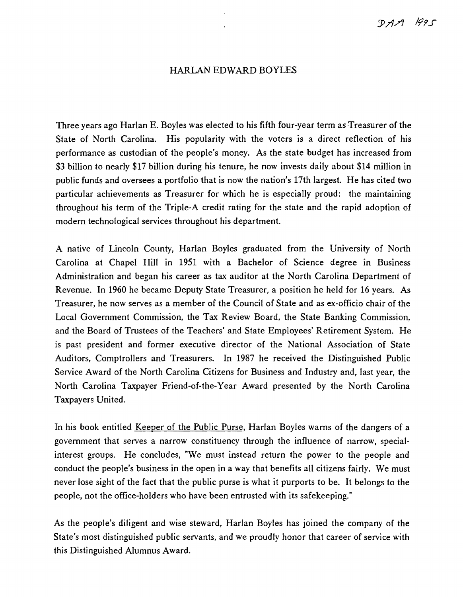## HARLAN EDWARD BOYLES

Three years ago Harlan E. Boyles was elected to his fifth four-year term as Treasurer of the State of North Carolina. His popularity with the voters is a direct reflection of his performance as custodian of the people's money. As the state budget has increased from \$3 billion to nearly \$17 billion during his tenure, he now invests daily about \$14 million in public funds and oversees a portfolio that is now the nation's 17th largest. He has cited two particular achievements as Treasurer for which he is especially proud: the maintaining throughout his term of the Triple-A credit rating for the state and the rapid adoption of modern technological services throughout his department.

A native of Lincoln County, Harlan Boyles graduated from the University of North Carolina at Chapel Hill in 1951 with a Bachelor of Science degree in Business Administration and began his career as tax auditor at the North Carolina Department of Revenue. In 1960 he became Deputy State Treasurer, a position he held for 16 years. As Treasurer, he now serves as a member of the Council of State and as ex-officio chair of the Local Government Commission, the Tax Review Board, the State Banking Commission, and the Board of Trustees of the Teachers' and State Employees' Retirement System. He is past president and former executive director of the National Association of State Auditors, Comptrollers and Treasurers. In 1987 he received the Distinguished Public Service Award of the North Carolina Citizens for Business and Industry and, last year, the North Carolina Taxpayer Friend-of-the-Year Award presented by the North Carolina Taxpayers United.

In his book entitled Keeper of the Public Purse, Harlan Boyles warns of the dangers of a government that serves a narrow constituency through the influence of narrow, specialinterest groups. He concludes, "We must instead return the power to the people and conduct the people's business in the open in a way that benefits all citizens fairly. We must never lose sight of the fact that the public purse is what it purports to be. It belongs to the people, not the office-holders who have been entrusted with its safekeeping."

As the people's diligent and wise steward, Harlan Boyles has joined the company of the State's most distinguished public servants, and we proudly honor that career of service with this Distinguished Alumnus Award.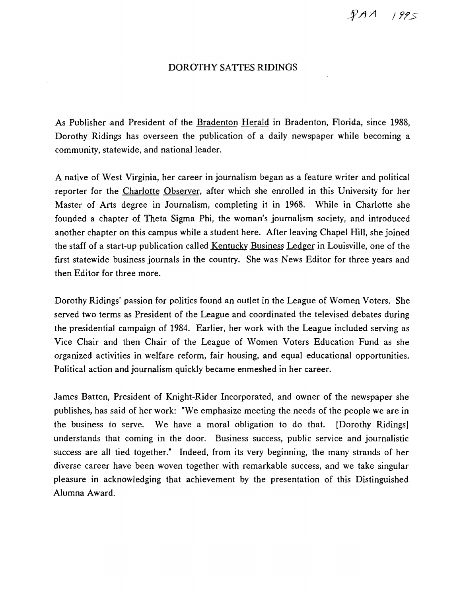*J* 71'5

## DOROTHY SATIES RIDINGS

As Publisher and President of the Bradenton Herald in Bradenton, Florida, since 1988, Dorothy Ridings has overseen the publication of a daily newspaper while becoming a community, statewide, and national leader.

A native of West Virginia, her career in journalism began as a feature writer and political reporter for the Charlotte Observer, after which she enrolled in this University for her Master of Arts degree in Journalism, completing it in 1968. While in Charlotte she founded a chapter of Theta Sigma Phi, the woman's journalism society, and introduced another chapter on this campus while a student here. After leaving Chapel Hill, she joined the staff of a start-up publication called Kentucky Business Ledger in Louisville, one of the first statewide business journals in the country. She was News Editor for three years and then Editor for three more.

Dorothy Ridings' passion for politics found an outlet in the League of Women Voters. She served two terms as President of the League and coordinated the televised debates during the presidential campaign of 1984. Earlier, her work with the League included serving as Vice Chair and then Chair of the League of Women Voters Education Fund as she organized activities in welfare reform, fair housing, and equal educational opportunities. Political action and journalism quickly became enmeshed in her career.

James Batten, President of Knight-Rider Incorporated, and owner of the newspaper she publishes, has said of her work: "We emphasize meeting the needs of the people we are in the business to serve. We have a moral obligation to do that. [Dorothy Ridings] understands that coming in the door. Business success, public service and journalistic success are all tied together." Indeed, from its very beginning, the many strands of her diverse career have been woven together with remarkable success, and we take singular pleasure in acknowledging that achievement by the presentation of this Distinguished Alumna Award.